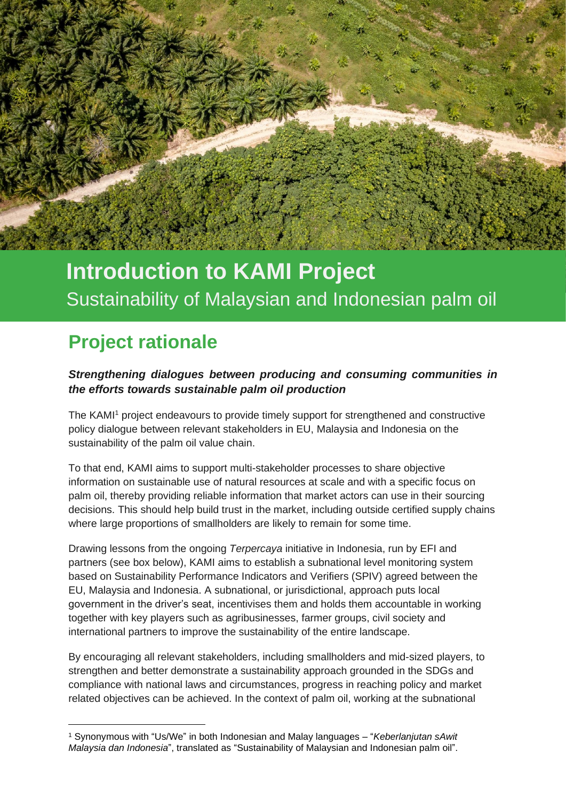# **Introduction to KAMI Project** Sustainability of Malaysian and Indonesian palm oil

# **Project rationale**

 $\mathbf{K}$  the  $\mathbf{K}$  dan  $\mathbf{K}$ 

Sustainability of Malaysian and Indonesian palm oil

*Strengthening dialogues between producing and consuming communities in the efforts towards sustainable palm oil production*

The KAMI<sup>1</sup> project endeavours to provide timely support for strengthened and constructive policy dialogue between relevant stakeholders in EU, Malaysia and Indonesia on the sustainability of the palm oil value chain.

To that end, KAMI aims to support multi-stakeholder processes to share objective information on sustainable use of natural resources at scale and with a specific focus on palm oil, thereby providing reliable information that market actors can use in their sourcing decisions. This should help build trust in the market, including outside certified supply chains where large proportions of smallholders are likely to remain for some time.

Drawing lessons from the ongoing *Terpercaya* initiative in Indonesia, run by EFI and partners (see box below), KAMI aims to establish a subnational level monitoring system based on Sustainability Performance Indicators and Verifiers (SPIV) agreed between the EU, Malaysia and Indonesia. A subnational, or jurisdictional, approach puts local government in the driver's seat, incentivises them and holds them accountable in working together with key players such as agribusinesses, farmer groups, civil society and international partners to improve the sustainability of the entire landscape.

By encouraging all relevant stakeholders, including smallholders and mid-sized players, to strengthen and better demonstrate a sustainability approach grounded in the SDGs and compliance with national laws and circumstances, progress in reaching policy and market related objectives can be achieved. In the context of palm oil, working at the subnational

<sup>1</sup> Synonymous with "Us/We" in both Indonesian and Malay languages – "*Keberlanjutan sAwit Malaysia dan Indonesia*", translated as "Sustainability of Malaysian and Indonesian palm oil".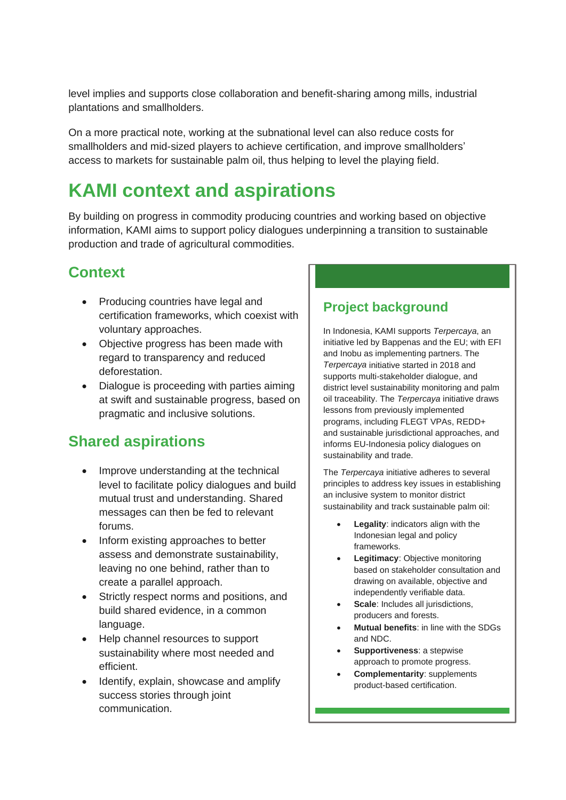level implies and supports close collaboration and benefit-sharing among mills, industrial plantations and smallholders.

On a more practical note, working at the subnational level can also reduce costs for smallholders and mid-sized players to achieve certification, and improve smallholders' access to markets for sustainable palm oil, thus helping to level the playing field.

## **KAMI context and aspirations**

By building on progress in commodity producing countries and working based on objective information, KAMI aims to support policy dialogues underpinning a transition to sustainable production and trade of agricultural commodities.

### **Context**

- Producing countries have legal and certification frameworks, which coexist with voluntary approaches.
- Objective progress has been made with regard to transparency and reduced deforestation.
- Dialogue is proceeding with parties aiming at swift and sustainable progress, based on pragmatic and inclusive solutions.

### **Shared aspirations**

- Improve understanding at the technical level to facilitate policy dialogues and build mutual trust and understanding. Shared messages can then be fed to relevant forums.
- Inform existing approaches to better assess and demonstrate sustainability, leaving no one behind, rather than to create a parallel approach.
- Strictly respect norms and positions, and build shared evidence, in a common language.
- Help channel resources to support sustainability where most needed and efficient.
- Identify, explain, showcase and amplify success stories through joint communication.

#### **Project background**

In Indonesia, KAMI supports *Terpercaya*, an initiative led by Bappenas and the EU; with EFI and Inobu as implementing partners. The *Terpercaya* initiative started in 2018 and supports multi-stakeholder dialogue, and district level sustainability monitoring and palm oil traceability. The *Terpercaya* initiative draws lessons from previously implemented programs, including FLEGT VPAs, REDD+ and sustainable jurisdictional approaches, and informs EU-Indonesia policy dialogues on sustainability and trade.

The *Terpercaya* initiative adheres to several principles to address key issues in establishing an inclusive system to monitor district sustainability and track sustainable palm oil:

- **Legality**: indicators align with the Indonesian legal and policy frameworks.
- **Legitimacy: Objective monitoring** based on stakeholder consultation and drawing on available, objective and independently verifiable data.
- **Scale:** Includes all jurisdictions. producers and forests.
- **Mutual benefits**: in line with the SDGs and NDC.
- **Supportiveness**: a stepwise approach to promote progress.
- **Complementarity**: supplements product-based certification.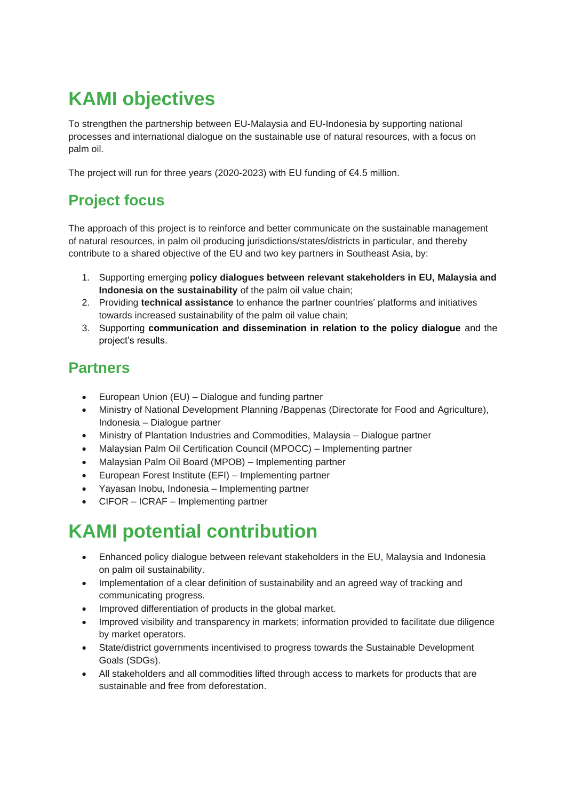# **KAMI objectives**

To strengthen the partnership between EU-Malaysia and EU-Indonesia by supporting national processes and international dialogue on the sustainable use of natural resources, with a focus on palm oil.

The project will run for three years (2020-2023) with EU funding of €4.5 million.

## **Project focus**

The approach of this project is to reinforce and better communicate on the sustainable management of natural resources, in palm oil producing jurisdictions/states/districts in particular, and thereby contribute to a shared objective of the EU and two key partners in Southeast Asia, by:

- 1. Supporting emerging **policy dialogues between relevant stakeholders in EU, Malaysia and Indonesia on the sustainability** of the palm oil value chain;
- 2. Providing **technical assistance** to enhance the partner countries' platforms and initiatives towards increased sustainability of the palm oil value chain;
- 3. Supporting **communication and dissemination in relation to the policy dialogue** and the project's results.

### **Partners**

- European Union (EU) Dialogue and funding partner
- Ministry of National Development Planning /Bappenas (Directorate for Food and Agriculture), Indonesia – Dialogue partner
- Ministry of Plantation Industries and Commodities, Malaysia Dialogue partner
- Malaysian Palm Oil Certification Council (MPOCC) Implementing partner
- Malaysian Palm Oil Board (MPOB) Implementing partner
- European Forest Institute (EFI) Implementing partner
- Yayasan Inobu, Indonesia Implementing partner
- CIFOR ICRAF Implementing partner

# **KAMI potential contribution**

- Enhanced policy dialogue between relevant stakeholders in the EU, Malaysia and Indonesia on palm oil sustainability.
- Implementation of a clear definition of sustainability and an agreed way of tracking and communicating progress.
- Improved differentiation of products in the global market.
- Improved visibility and transparency in markets; information provided to facilitate due diligence by market operators.
- State/district governments incentivised to progress towards the Sustainable Development Goals (SDGs).
- All stakeholders and all commodities lifted through access to markets for products that are sustainable and free from deforestation.